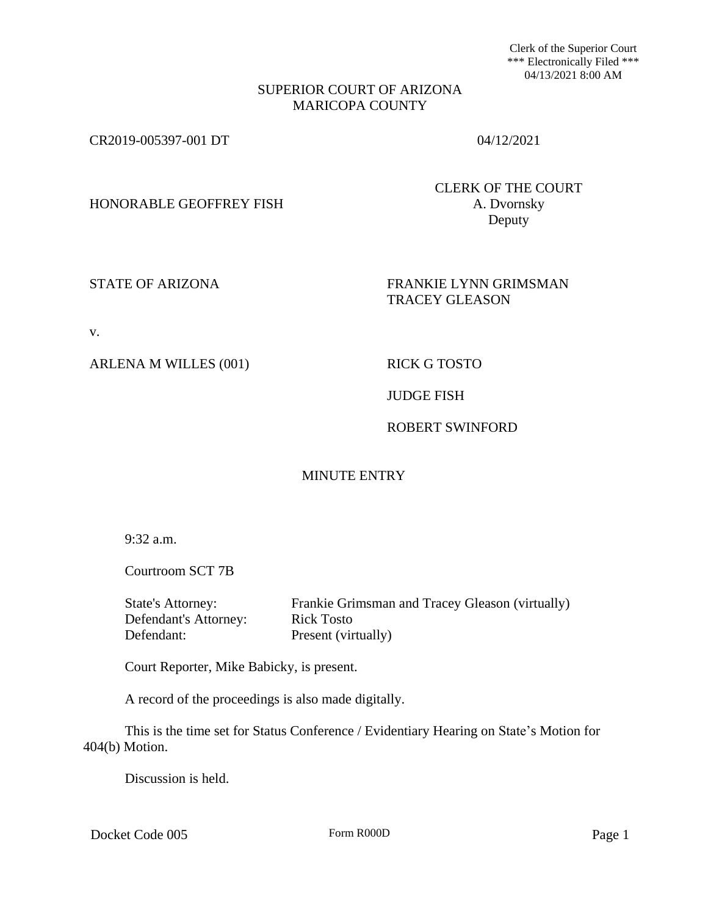Clerk of the Superior Court \*\*\* Electronically Filed \*\*\* 04/13/2021 8:00 AM

### SUPERIOR COURT OF ARIZONA MARICOPA COUNTY

CR2019-005397-001 DT 04/12/2021

HONORABLE GEOFFREY FISH A. Dvornsky

CLERK OF THE COURT Deputy

## STATE OF ARIZONA FRANKIE LYNN GRIMSMAN TRACEY GLEASON

v.

ARLENA M WILLES (001) RICK G TOSTO

## JUDGE FISH

# ROBERT SWINFORD

# MINUTE ENTRY

9:32 a.m.

Courtroom SCT 7B

| State's Attorney:     | Frankie Grimsman and Tracey Gleason (virtually) |
|-----------------------|-------------------------------------------------|
| Defendant's Attorney: | Rick Tosto                                      |
| Defendant:            | Present (virtually)                             |

Court Reporter, Mike Babicky, is present.

A record of the proceedings is also made digitally.

This is the time set for Status Conference / Evidentiary Hearing on State's Motion for 404(b) Motion.

Discussion is held.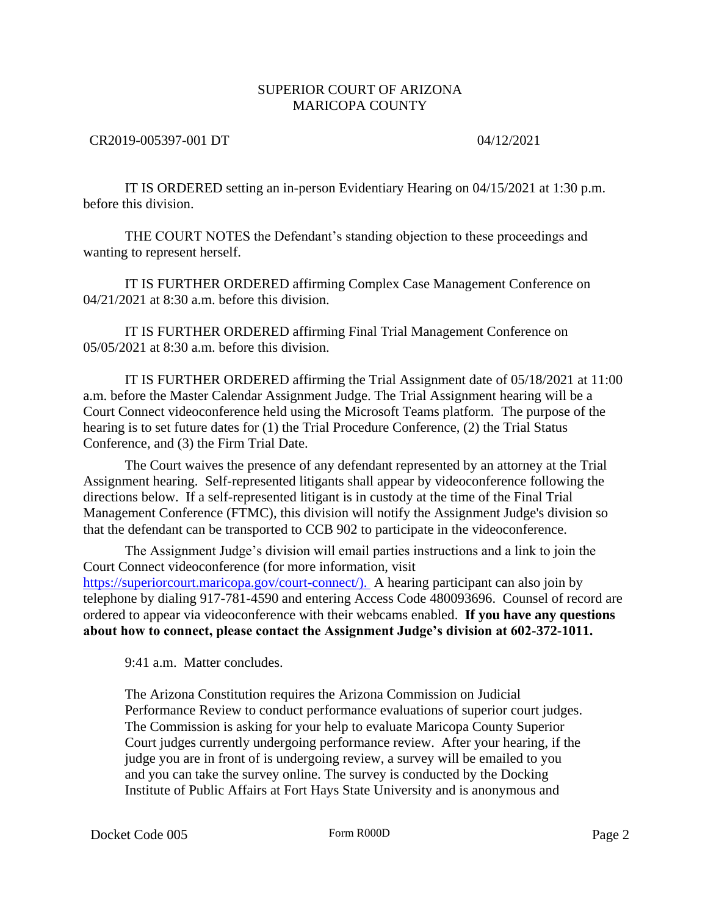## SUPERIOR COURT OF ARIZONA MARICOPA COUNTY

### CR2019-005397-001 DT 04/12/2021

IT IS ORDERED setting an in-person Evidentiary Hearing on 04/15/2021 at 1:30 p.m. before this division.

THE COURT NOTES the Defendant's standing objection to these proceedings and wanting to represent herself.

IT IS FURTHER ORDERED affirming Complex Case Management Conference on 04/21/2021 at 8:30 a.m. before this division.

IT IS FURTHER ORDERED affirming Final Trial Management Conference on 05/05/2021 at 8:30 a.m. before this division.

IT IS FURTHER ORDERED affirming the Trial Assignment date of 05/18/2021 at 11:00 a.m. before the Master Calendar Assignment Judge. The Trial Assignment hearing will be a Court Connect videoconference held using the Microsoft Teams platform. The purpose of the hearing is to set future dates for (1) the Trial Procedure Conference, (2) the Trial Status Conference, and (3) the Firm Trial Date.

The Court waives the presence of any defendant represented by an attorney at the Trial Assignment hearing. Self-represented litigants shall appear by videoconference following the directions below. If a self-represented litigant is in custody at the time of the Final Trial Management Conference (FTMC), this division will notify the Assignment Judge's division so that the defendant can be transported to CCB 902 to participate in the videoconference.

The Assignment Judge's division will email parties instructions and a link to join the Court Connect videoconference (for more information, visit [https://superiorcourt.maricopa.gov/court-connect/\).](https://superiorcourt.maricopa.gov/court-connect/).) A hearing participant can also join by telephone by dialing 917-781-4590 and entering Access Code 480093696. Counsel of record are ordered to appear via videoconference with their webcams enabled. **If you have any questions about how to connect, please contact the Assignment Judge's division at 602-372-1011.**

9:41 a.m. Matter concludes.

The Arizona Constitution requires the Arizona Commission on Judicial Performance Review to conduct performance evaluations of superior court judges. The Commission is asking for your help to evaluate Maricopa County Superior Court judges currently undergoing performance review. After your hearing, if the judge you are in front of is undergoing review, a survey will be emailed to you and you can take the survey online. The survey is conducted by the Docking Institute of Public Affairs at Fort Hays State University and is anonymous and